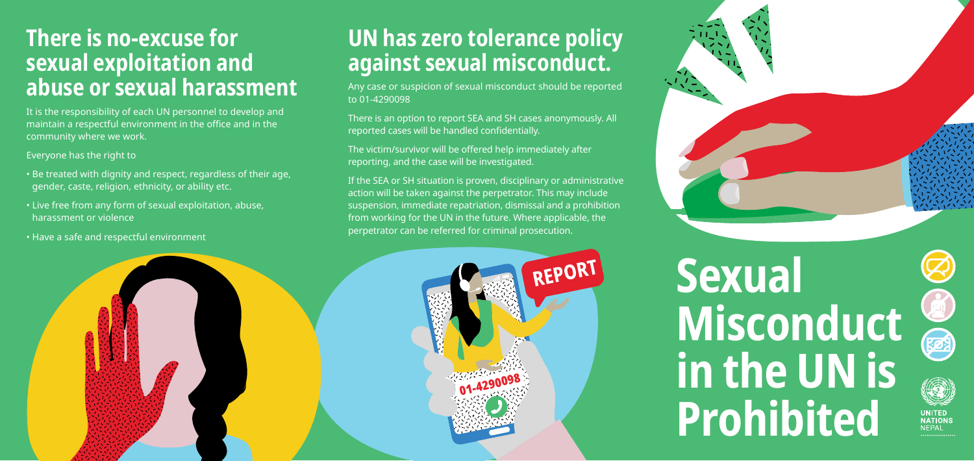## **Sexual Misconduct in the UN is Prohibited**





UNITED<br>NATIONS

## **There is no-excuse for sexual exploitation and abuse or sexual harassment**

It is the responsibility of each UN personnel to develop and maintain a respectful environment in the office and in the community where we work.

Everyone has the right to

- Be treated with dignity and respect, regardless of their age, gender, caste, religion, ethnicity, or ability etc.
- Live free from any form of sexual exploitation, abuse, harassment or violence
- Have a safe and respectful environment

## **UN has zero tolerance policy against sexual misconduct.**

Any case or suspicion of sexual misconduct should be reported to 01-4290098

There is an option to report SEA and SH cases anonymously. All reported cases will be handled confidentially.

The victim/survivor will be offered help immediately after reporting, and the case will be investigated.

If the SEA or SH situation is proven, disciplinary or administrative action will be taken against the perpetrator. This may include suspension, immediate repatriation, dismissal and a prohibition from working for the UN in the future. Where applicable, the perpetrator can be referred for criminal prosecution.